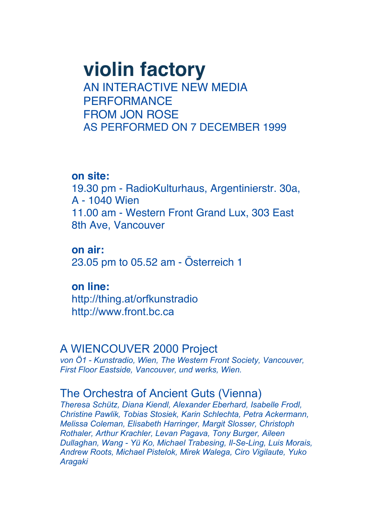# **violin factory** AN INTERACTIVE NEW MEDIA PERFORMANCE FROM JON ROSE

AS PERFORMED ON 7 DECEMBER 1999

#### **on site:**

19.30 pm - RadioKulturhaus, Argentinierstr. 30a, A - 1040 Wien 11.00 am - Western Front Grand Lux, 303 East 8th Ave, Vancouver

**on air:** 23.05 pm to 05.52 am - Österreich 1

**on line:** <http://thing.at/orfkunstradio> [http://www.front.bc.ca](http://www.front.bc.ca/)

## A WIENCOUVER 2000 Project

*von Ö1 - Kunstradio, Wien, The Western Front Society, Vancouver, First Floor Eastside, Vancouver, und werks, Wien.*

## The Orchestra of Ancient Guts (Vienna)

*Theresa Schütz, Diana Kiendl, Alexander Eberhard, Isabelle Frodl, Christine Pawlik, Tobias Stosiek, Karin Schlechta, Petra Ackermann, Melissa Coleman, Elisabeth Harringer, Margit Slosser, Christoph Rothaler, Arthur Krachler, Levan Pagava, Tony Burger, Aileen Dullaghan, Wang - Yü Ko, Michael Trabesing, Il-Se-Ling, Luis Morais, Andrew Roots, Michael Pistelok, Mirek Walega, Ciro Vigilaute, Yuko Aragaki*